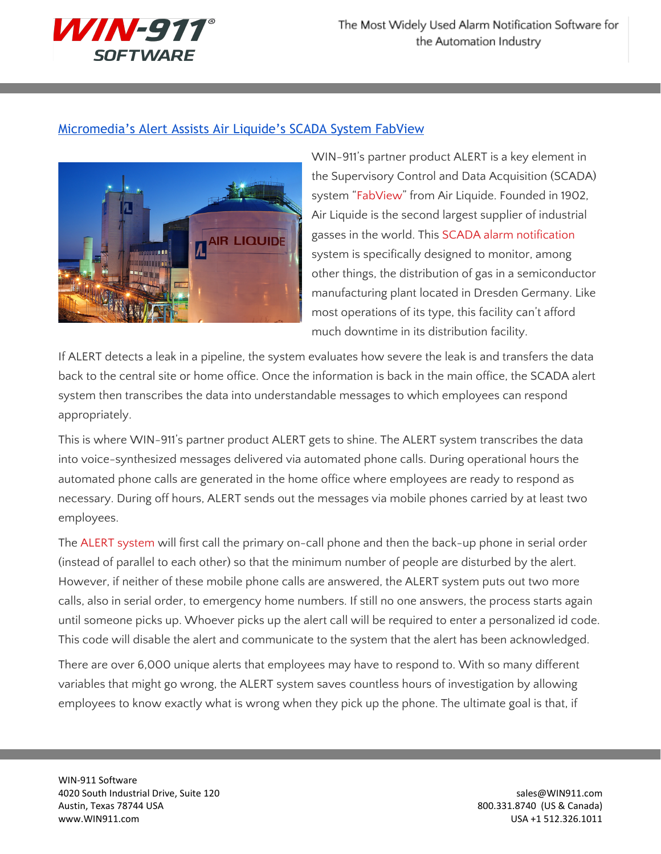

## [Micromedia's](http://www.win911.com/micromedias-alert-assists-air-liquides-scada-system-fabview/) Alert Assists Air Liquide's SCADA System FabView



WIN-911's partner product ALERT is a key element in the Supervisory Control and Data Acquisition (SCADA) system ["FabView"](http://www.airliquide.com/en/semiconductors/services-12/fabview-1.html) from Air Liquide. Founded in 1902, Air Liquide is the second largest supplier of industrial gasses in the world. This SCADA alarm [notification](http://www.win911.com/scada-alarm-notification/) system is specifically designed to monitor, among other things, the distribution of gas in a semiconductor manufacturing plant located in Dresden Germany. Like most operations of its type, this facility can't afford much downtime in its distribution facility.

If ALERT detects a leak in a pipeline, the system evaluates how severe the leak is and transfers the data back to the central site or home office. Once the information is back in the main office, the SCADA alert system then transcribes the data into understandable messages to which employees can respond appropriately.

This is where WIN-911's partner product ALERT gets to shine. The ALERT system transcribes the data into voice-synthesized messages delivered via automated phone calls. During operational hours the automated phone calls are generated in the home office where employees are ready to respond as necessary. During off hours, ALERT sends out the messages via mobile phones carried by at least two employees.

The ALERT [system](http://www.micromedia-int.com/en/2012-07-09-08-00-33/alert/presentation) will first call the primary on-call phone and then the back-up phone in serial order (instead of parallel to each other) so that the minimum number of people are disturbed by the alert. However, if neither of these mobile phone calls are answered, the ALERT system puts out two more calls, also in serial order, to emergency home numbers. If still no one answers, the process starts again until someone picks up. Whoever picks up the alert call will be required to enter a personalized id code. This code will disable the alert and communicate to the system that the alert has been acknowledged.

There are over 6,000 unique alerts that employees may have to respond to. With so many different variables that might go wrong, the ALERT system saves countless hours of investigation by allowing employees to know exactly what is wrong when they pick up the phone. The ultimate goal is that, if

WIN-911 Software 4020 South Industrial Drive, Suite 120 sales extends to the state of the state of the state of the state of the state of the state of the state of the state of the state of the state of the state of the state of the state Austin, Texas 78744 USA 800.331.8740 (US & Canada) www.WIN911.com USA +1 512.326.1011